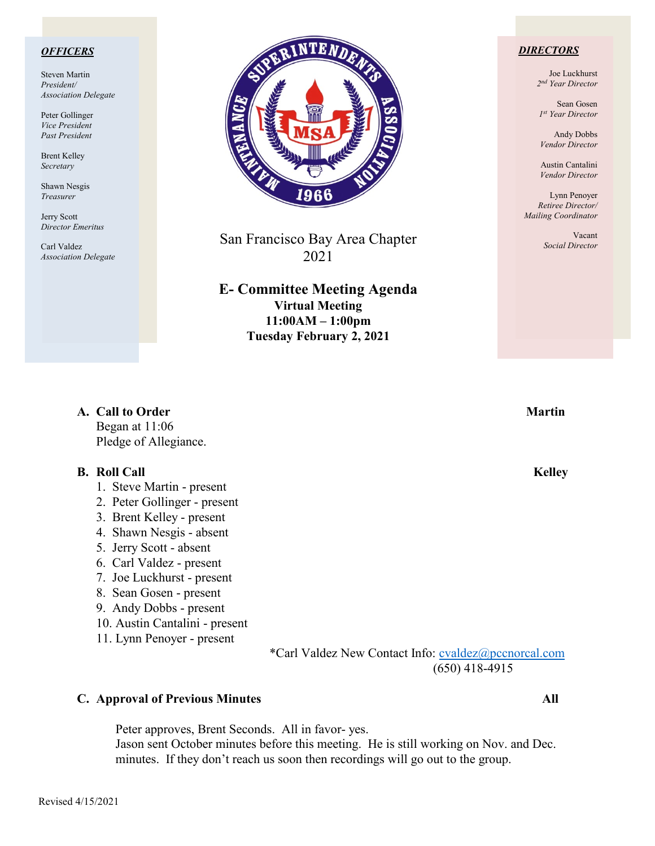#### *OFFICERS*

Steven Martin *President/ Association Delegate*

Peter Gollinger *Vice President Past President*

Brent Kelley *Secretary*

Shawn Nesgis *Treasurer*

Jerry Scott *Director Emeritus*

Carl Valdez *Association Delegate*



San Francisco Bay Area Chapter 2021

**E- Committee Meeting Agenda Virtual Meeting 11:00AM – 1:00pm Tuesday February 2, 2021**

#### *DIRECTORS*

Joe Luckhurst *2nd Year Director*

Sean Gosen *1st Year Director*

Andy Dobbs *Vendor Director*

Austin Cantalini *Vendor Director*

Lynn Penoyer *Retiree Director/ Mailing Coordinator*

> Vacant *Social Director*

| A. Call to Order      | <b>Martin</b> |
|-----------------------|---------------|
| Began at $11:06$      |               |
| Pledge of Allegiance. |               |

#### **B. Roll Call Kelley**

- 1. Steve Martin present
- 2. Peter Gollinger present
- 3. Brent Kelley present
- 4. Shawn Nesgis absent
- 5. Jerry Scott absent
- 6. Carl Valdez present
- 7. Joe Luckhurst present
- 8. Sean Gosen present
- 9. Andy Dobbs present
- 10. Austin Cantalini present
- 11. Lynn Penoyer present

\*Carl Valdez New Contact Info: [cvaldez@pccnorcal.com](mailto:cvaldez@pccnorcal.com) (650) 418-4915

#### **C. Approval of Previous Minutes All**

Peter approves, Brent Seconds. All in favor- yes. Jason sent October minutes before this meeting. He is still working on Nov. and Dec. minutes. If they don't reach us soon then recordings will go out to the group.

Revised 4/15/2021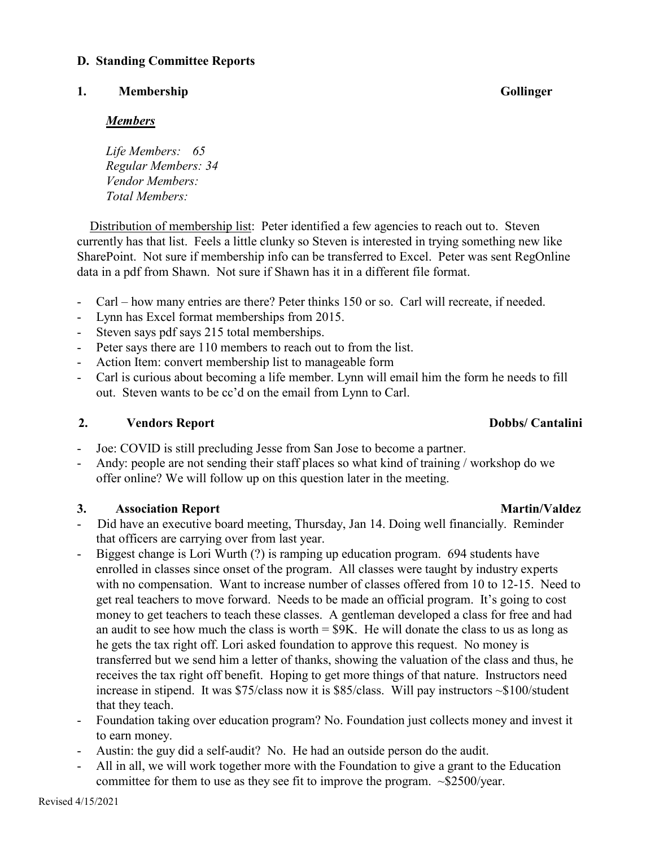### **D. Standing Committee Reports**

#### **1. Membership Gollinger**

### *Members*

*Life Members: 65 Regular Members: 34 Vendor Members: Total Members:*

Distribution of membership list: Peter identified a few agencies to reach out to. Steven currently has that list. Feels a little clunky so Steven is interested in trying something new like SharePoint. Not sure if membership info can be transferred to Excel. Peter was sent RegOnline data in a pdf from Shawn. Not sure if Shawn has it in a different file format.

- Carl how many entries are there? Peter thinks 150 or so. Carl will recreate, if needed.
- Lynn has Excel format memberships from 2015.
- Steven says pdf says 215 total memberships.
- Peter says there are 110 members to reach out to from the list.
- Action Item: convert membership list to manageable form
- Carl is curious about becoming a life member. Lynn will email him the form he needs to fill out. Steven wants to be cc'd on the email from Lynn to Carl.

### **2. Vendors Report Dobbs/ Cantalini**

- Joe: COVID is still precluding Jesse from San Jose to become a partner.
- Andy: people are not sending their staff places so what kind of training / workshop do we offer online? We will follow up on this question later in the meeting.

# **3. Association Report Martin/Valdez**

- Did have an executive board meeting, Thursday, Jan 14. Doing well financially. Reminder that officers are carrying over from last year.
- Biggest change is Lori Wurth (?) is ramping up education program. 694 students have enrolled in classes since onset of the program. All classes were taught by industry experts with no compensation. Want to increase number of classes offered from 10 to 12-15. Need to get real teachers to move forward. Needs to be made an official program. It's going to cost money to get teachers to teach these classes. A gentleman developed a class for free and had an audit to see how much the class is worth  $= $9K$ . He will donate the class to us as long as he gets the tax right off. Lori asked foundation to approve this request. No money is transferred but we send him a letter of thanks, showing the valuation of the class and thus, he receives the tax right off benefit. Hoping to get more things of that nature. Instructors need increase in stipend. It was \$75/class now it is \$85/class. Will pay instructors ~\$100/student that they teach.
- Foundation taking over education program? No. Foundation just collects money and invest it to earn money.
- Austin: the guy did a self-audit? No. He had an outside person do the audit.
- All in all, we will work together more with the Foundation to give a grant to the Education committee for them to use as they see fit to improve the program. ~\$2500/year.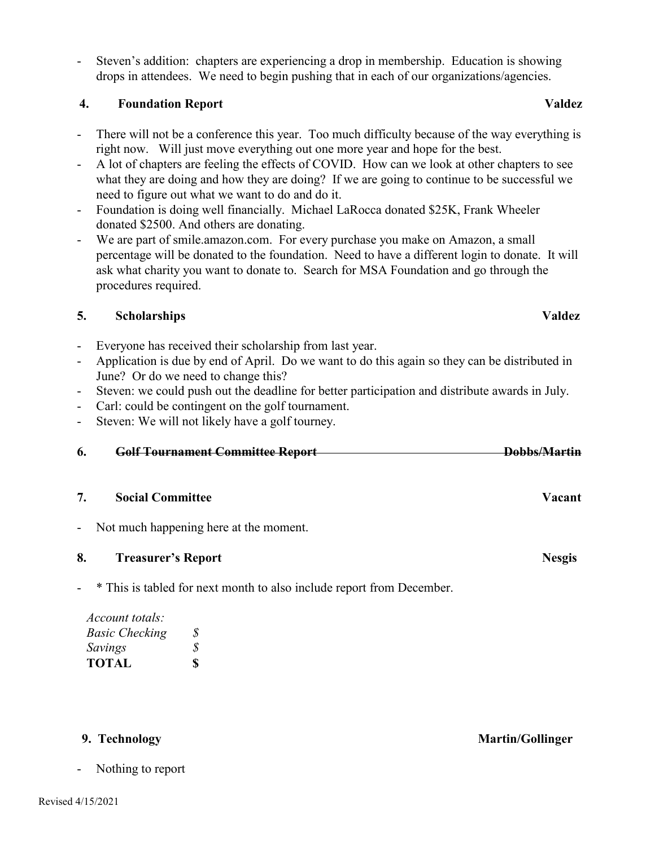- Steven's addition: chapters are experiencing a drop in membership. Education is showing drops in attendees. We need to begin pushing that in each of our organizations/agencies.

### **4. Foundation Report Valdez**

- There will not be a conference this year. Too much difficulty because of the way everything is right now. Will just move everything out one more year and hope for the best.
- A lot of chapters are feeling the effects of COVID. How can we look at other chapters to see what they are doing and how they are doing? If we are going to continue to be successful we need to figure out what we want to do and do it.
- Foundation is doing well financially. Michael LaRocca donated \$25K, Frank Wheeler donated \$2500. And others are donating.
- We are part of smile.amazon.com. For every purchase you make on Amazon, a small percentage will be donated to the foundation. Need to have a different login to donate. It will ask what charity you want to donate to. Search for MSA Foundation and go through the procedures required.

# **5. Scholarships Valdez**

- Everyone has received their scholarship from last year.
- Application is due by end of April. Do we want to do this again so they can be distributed in June? Or do we need to change this?
- Steven: we could push out the deadline for better participation and distribute awards in July.
- Carl: could be contingent on the golf tournament.
- Steven: We will not likely have a golf tourney.

|    | Colf Tournament Committee Depart           | Dobbs/Mortin           |
|----|--------------------------------------------|------------------------|
|    |                                            |                        |
| O. | <del>Gun Tuurnament Committee Report</del> | ,,,,,,,,,,,,,,,,,,,,,, |
|    |                                            |                        |

# **7. Social Committee Vacant**

- Not much happening here at the moment.
- **8.** Treasurer's Report Nesgis
- \* This is tabled for next month to also include report from December.

| Account totals:       |              |
|-----------------------|--------------|
| <b>Basic Checking</b> | <i>S</i>     |
| Savings               | S            |
| <b>TOTAL</b>          | $\mathbf{s}$ |

Nothing to report

**9. Technology Martin/Gollinger**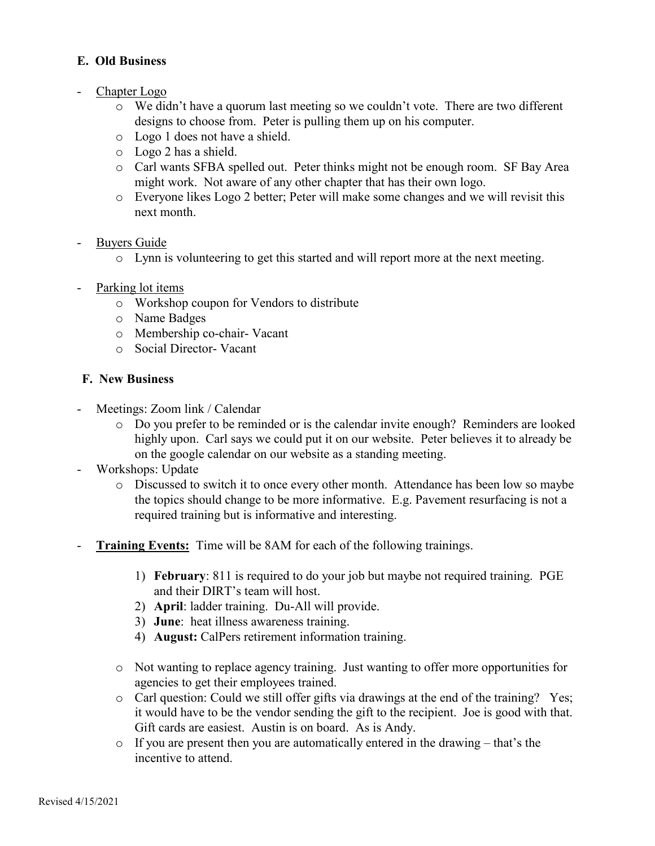# **E. Old Business**

- Chapter Logo
	- o We didn't have a quorum last meeting so we couldn't vote. There are two different designs to choose from. Peter is pulling them up on his computer.
	- o Logo 1 does not have a shield.
	- o Logo 2 has a shield.
	- o Carl wants SFBA spelled out. Peter thinks might not be enough room. SF Bay Area might work. Not aware of any other chapter that has their own logo.
	- o Everyone likes Logo 2 better; Peter will make some changes and we will revisit this next month.
- Buyers Guide
	- o Lynn is volunteering to get this started and will report more at the next meeting.
- Parking lot items
	- o Workshop coupon for Vendors to distribute
	- o Name Badges
	- o Membership co-chair- Vacant
	- o Social Director- Vacant

### **F. New Business**

- Meetings: Zoom link / Calendar
	- o Do you prefer to be reminded or is the calendar invite enough? Reminders are looked highly upon. Carl says we could put it on our website. Peter believes it to already be on the google calendar on our website as a standing meeting.
- Workshops: Update
	- o Discussed to switch it to once every other month. Attendance has been low so maybe the topics should change to be more informative. E.g. Pavement resurfacing is not a required training but is informative and interesting.
- **Training Events:** Time will be 8AM for each of the following trainings.
	- 1) **February**: 811 is required to do your job but maybe not required training. PGE and their DIRT's team will host.
	- 2) **April**: ladder training. Du-All will provide.
	- 3) **June**: heat illness awareness training.
	- 4) **August:** CalPers retirement information training.
	- o Not wanting to replace agency training. Just wanting to offer more opportunities for agencies to get their employees trained.
	- o Carl question: Could we still offer gifts via drawings at the end of the training? Yes; it would have to be the vendor sending the gift to the recipient. Joe is good with that. Gift cards are easiest. Austin is on board. As is Andy.
	- o If you are present then you are automatically entered in the drawing that's the incentive to attend.